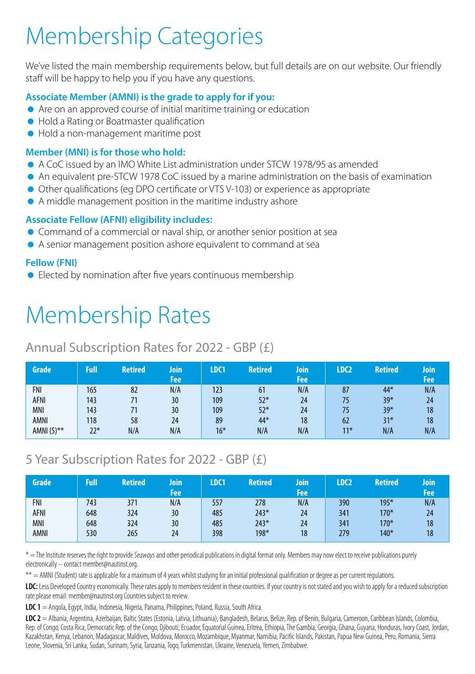# Membership Categories

We've listed the main membership requirements below, but full details are on our website. Our friendly staff will be happy to help you if you have any questions.

### **Associate Member (AMNI) is the grade to apply for if you:**

- Are on an approved course of initial maritime training or education
- Hold a Rating or Boatmaster qualification
- Hold a non-management maritime post

### **Member (MNI) is for those who hold:**

- A CoC issued by an IMO White List administration under STCW 1978/95 as amended
- An equivalent pre-STCW 1978 CoC issued by a marine administration on the basis of examination
- Other qualifications (eg DPO certificate or VTS V-103) or experience as appropriate
- A middle management position in the maritime industry ashore

### **Associate Fellow (AFNI) eligibility includes:**

- Command of a commercial or naval ship, or another senior position at sea
- A senior management position ashore equivalent to command at sea

### **Fellow (FNI)**

**Elected by nomination after five years continuous membership** 

## Membership Rates

## Annual Subscription Rates for 2022 - GBP (£)

| Grade         | Full  | <b>Retired</b> | Join<br>Fee | LDC1  | <b>Retired</b> | Join<br>Fee | LDC <sub>2</sub> | <b>Retired</b> | Join<br>Fee |
|---------------|-------|----------------|-------------|-------|----------------|-------------|------------------|----------------|-------------|
| <b>FNI</b>    | 165   | 82             | N/A         | 123   | 61             | N/A         | 87               | 44*            | N/A         |
| AFNI          | 143   |                | 30          | 109   | $52*$          | 24          | 75               | $39*$          | 24          |
| MNI           | 143   |                | 30          | 109   | $52*$          | 24          | 75               | $39*$          | 18          |
| AMNI          | 118   | 58             | 24          | 89    | 44*            | 18          | 62               | $31*$          | 18          |
| AMNI $(S)$ ** | $22*$ | N/A            | N/A         | $16*$ | N/A            | N/A         | $11*$            | N/A            | N/A         |

## 5 Year Subscription Rates for 2022 - GBP (£)

| Grade      | Full | <b>Retired</b> | loin<br>Fee | LDC1 | <b>Retired</b> | Join<br>Fee | LDC <sub>2</sub> | <b>Retired</b> | Join<br>Fee |
|------------|------|----------------|-------------|------|----------------|-------------|------------------|----------------|-------------|
| <b>FNI</b> | 743  | 371            | N/A         | 557  | 278            | N/A         | 390              | $195*$         | N/A         |
| AFNI       | 648  | 324            | 30          | 485  | $243*$         | 24          | 341              | $170*$         | 24          |
| MNI        | 648  | 324            | 30          | 485  | $243*$         | 24          | 341              | $170*$         | 18          |
| AMNI       | 530  | 265            | 24          | 398  | 198*           | 18          | 279              | $140*$         | 18          |

\* = The Institute reserves the right to provide *Seaways* and other periodical publications in digital format only. Members may now elect to receive publications purely electronically – contact member@nautinst.org.

\*\* = AMNI (Student) rate is applicable for a maximum of 4 years whilst studying for an initial professional qualification or degree as per current regulations.

LDC: Less Developed Country economically. These rates apply to members resident in these countries. If your country is not stated and you wish to apply for a reduced subscription rate please email: member@nautinst.org Countries subject to review.

**LDC 1** = Angola, Egypt, India, Indonesia, Nigeria, Panama, Philippines, Poland, Russia, South Africa.

**LDC 2** = Albania, Argentina, Azerbaijan, Baltic States (Estonia, Latvia, Lithuania), Bangladesh, Belarus, Belize, Rep. of Benin, Bulgaria, Cameroon, Caribbean Islands, Colombia, Rep. of Congo, Costa Rica, Democratic Rep. of the Congo, Djibouti, Ecuador, Equatorial Guinea, Eritrea, Ethiopia, The Gambia, Georgia, Ghana, Guyana, Honduras, Ivory Coast, Jordan, Kazakhstan, Kenya, Lebanon, Madagascar, Maldives, Moldova, Morocco, Mozambique, Myanmar, Namibia, Pacific Islands, Pakistan, Papua New Guinea, Peru, Romania, Sierra Leone, Slovenia, Sri Lanka, Sudan, Surinam, Syria, Tanzania, Togo, Turkmenistan, Ukraine, Venezuela, Yemen, Zimbabwe.